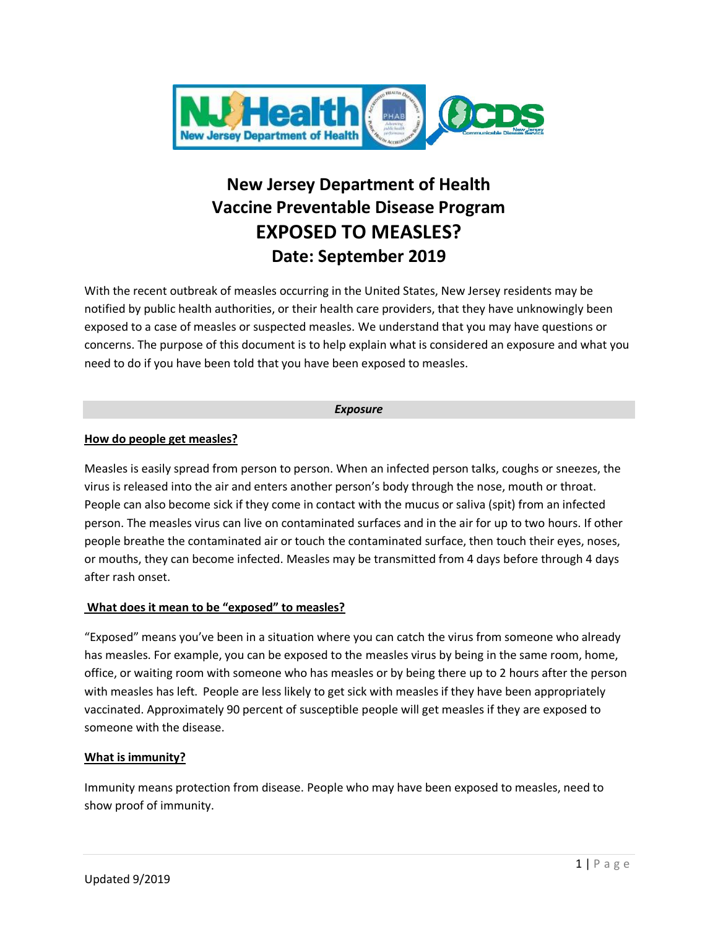

# **New Jersey Department of Health Vaccine Preventable Disease Program EXPOSED TO MEASLES? Date: September 2019**

With the recent outbreak of measles occurring in the United States, New Jersey residents may be notified by public health authorities, or their health care providers, that they have unknowingly been exposed to a case of measles or suspected measles. We understand that you may have questions or concerns. The purpose of this document is to help explain what is considered an exposure and what you need to do if you have been told that you have been exposed to measles.

#### *Exposure*

## **How do people get measles?**

Measles is easily spread from person to person. When an infected person talks, coughs or sneezes, the virus is released into the air and enters another person's body through the nose, mouth or throat. People can also become sick if they come in contact with the mucus or saliva (spit) from an infected person. The measles virus can live on contaminated surfaces and in the air for up to two hours. If other people breathe the contaminated air or touch the contaminated surface, then touch their eyes, noses, or mouths, they can become infected. Measles may be transmitted from 4 days before through 4 days after rash onset.

# **What does it mean to be "exposed" to measles?**

"Exposed" means you've been in a situation where you can catch the virus from someone who already has measles. For example, you can be exposed to the measles virus by being in the same room, home, office, or waiting room with someone who has measles or by being there up to 2 hours after the person with measles has left. People are less likely to get sick with measles if they have been appropriately vaccinated. Approximately 90 percent of susceptible people will get measles if they are exposed to someone with the disease.

#### **What is immunity?**

Immunity means protection from disease. People who may have been exposed to measles, need to show proof of immunity.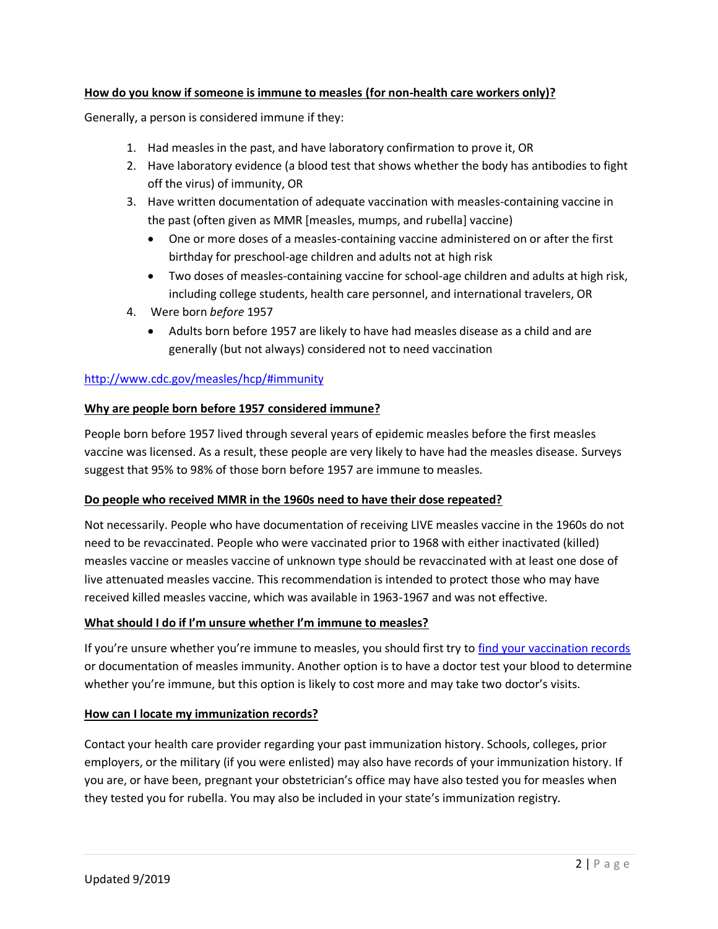## **How do you know if someone is immune to measles (for non-health care workers only)?**

Generally, a person is considered immune if they:

- 1. Had measles in the past, and have laboratory confirmation to prove it, OR
- 2. Have laboratory evidence (a blood test that shows whether the body has antibodies to fight off the virus) of immunity, OR
- 3. Have written documentation of adequate vaccination with measles-containing vaccine in the past (often given as MMR [measles, mumps, and rubella] vaccine)
	- One or more doses of a measles-containing vaccine administered on or after the first birthday for preschool-age children and adults not at high risk
	- Two doses of measles-containing vaccine for school-age children and adults at high risk, including college students, health care personnel, and international travelers, OR
- 4. Were born *before* 1957
	- Adults born before 1957 are likely to have had measles disease as a child and are generally (but not always) considered not to need vaccination

## <http://www.cdc.gov/measles/hcp/#immunity>

## **Why are people born before 1957 considered immune?**

People born before 1957 lived through several years of epidemic measles before the first measles vaccine was licensed. As a result, these people are very likely to have had the measles disease. Surveys suggest that 95% to 98% of those born before 1957 are immune to measles.

#### **Do people who received MMR in the 1960s need to have their dose repeated?**

Not necessarily. People who have documentation of receiving LIVE measles vaccine in the 1960s do not need to be revaccinated. People who were vaccinated prior to 1968 with either inactivated (killed) measles vaccine or measles vaccine of unknown type should be revaccinated with at least one dose of live attenuated measles vaccine. This recommendation is intended to protect those who may have received killed measles vaccine, which was available in 1963-1967 and was not effective.

#### **What should I do if I'm unsure whether I'm immune to measles?**

If you're unsure whether you're immune to measles, you should first try to [find your vaccination records](http://www.cdc.gov/vaccines/adults/vaccination-records.html) or documentation of measles immunity. Another option is to have a doctor test your blood to determine whether you're immune, but this option is likely to cost more and may take two doctor's visits.

#### **How can I locate my immunization records?**

Contact your health care provider regarding your past immunization history. Schools, colleges, prior employers, or the military (if you were enlisted) may also have records of your immunization history. If you are, or have been, pregnant your obstetrician's office may have also tested you for measles when they tested you for rubella. You may also be included in your state's immunization registry.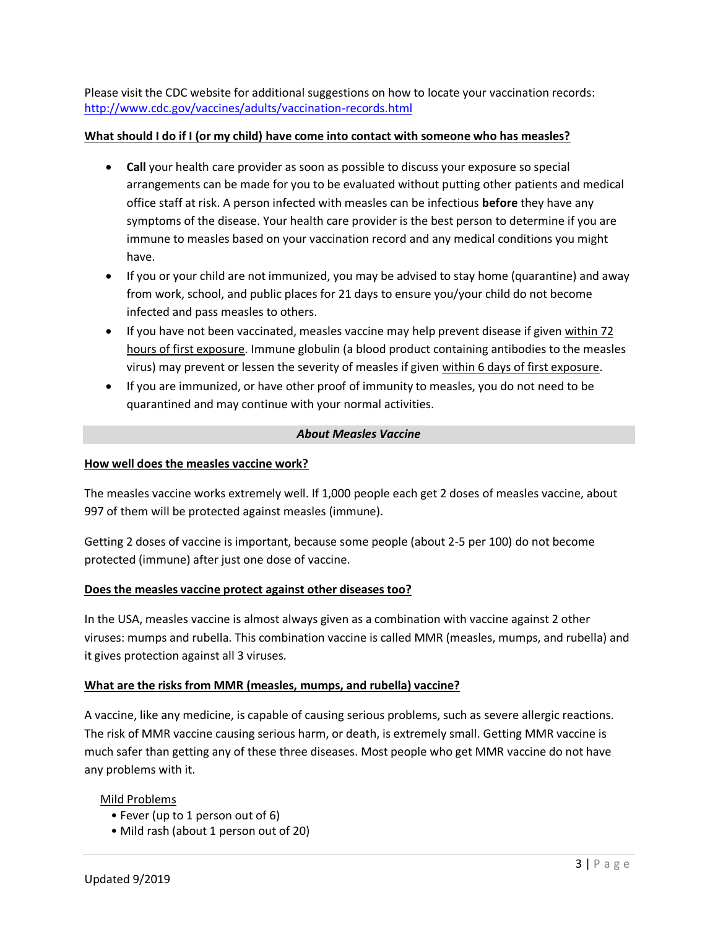Please visit the CDC website for additional suggestions on how to locate your vaccination records: <http://www.cdc.gov/vaccines/adults/vaccination-records.html>

#### **What should I do if I (or my child) have come into contact with someone who has measles?**

- **Call** your health care provider as soon as possible to discuss your exposure so special arrangements can be made for you to be evaluated without putting other patients and medical office staff at risk. A person infected with measles can be infectious **before** they have any symptoms of the disease. Your health care provider is the best person to determine if you are immune to measles based on your vaccination record and any medical conditions you might have.
- If you or your child are not immunized, you may be advised to stay home (quarantine) and away from work, school, and public places for 21 days to ensure you/your child do not become infected and pass measles to others.
- If you have not been vaccinated, measles vaccine may help prevent disease if given within 72 hours of first exposure. Immune globulin (a blood product containing antibodies to the measles virus) may prevent or lessen the severity of measles if given within 6 days of first exposure.
- If you are immunized, or have other proof of immunity to measles, you do not need to be quarantined and may continue with your normal activities.

#### *About Measles Vaccine*

#### **How well does the measles vaccine work?**

The measles vaccine works extremely well. If 1,000 people each get 2 doses of measles vaccine, about 997 of them will be protected against measles (immune).

Getting 2 doses of vaccine is important, because some people (about 2-5 per 100) do not become protected (immune) after just one dose of vaccine.

#### **Does the measles vaccine protect against other diseases too?**

In the USA, measles vaccine is almost always given as a combination with vaccine against 2 other viruses: mumps and rubella. This combination vaccine is called MMR (measles, mumps, and rubella) and it gives protection against all 3 viruses.

#### **What are the risks from MMR (measles, mumps, and rubella) vaccine?**

A vaccine, like any medicine, is capable of causing serious problems, such as severe allergic reactions. The risk of MMR vaccine causing serious harm, or death, is extremely small. Getting MMR vaccine is much safer than getting any of these three diseases. Most people who get MMR vaccine do not have any problems with it.

#### Mild Problems

- Fever (up to 1 person out of 6)
- Mild rash (about 1 person out of 20)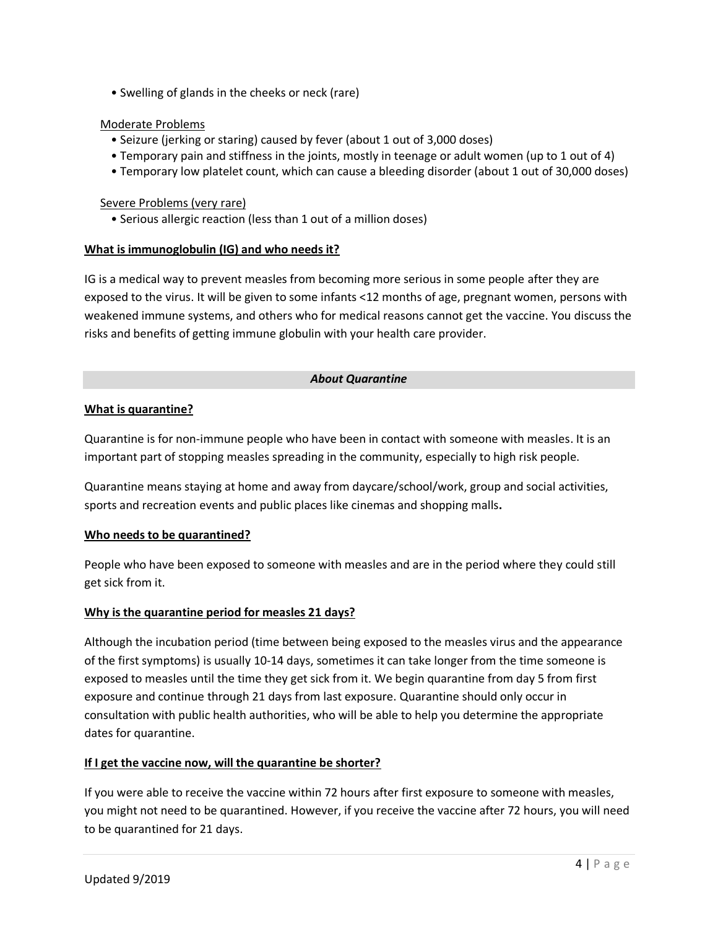• Swelling of glands in the cheeks or neck (rare)

## Moderate Problems

- Seizure (jerking or staring) caused by fever (about 1 out of 3,000 doses)
- Temporary pain and stiffness in the joints, mostly in teenage or adult women (up to 1 out of 4)
- Temporary low platelet count, which can cause a bleeding disorder (about 1 out of 30,000 doses)

#### Severe Problems (very rare)

• Serious allergic reaction (less than 1 out of a million doses)

#### **What is immunoglobulin (IG) and who needs it?**

IG is a medical way to prevent measles from becoming more serious in some people after they are exposed to the virus. It will be given to some infants <12 months of age, pregnant women, persons with weakened immune systems, and others who for medical reasons cannot get the vaccine. You discuss the risks and benefits of getting immune globulin with your health care provider.

#### *About Quarantine*

#### **What is quarantine?**

Quarantine is for non-immune people who have been in contact with someone with measles. It is an important part of stopping measles spreading in the community, especially to high risk people.

Quarantine means staying at home and away from daycare/school/work, group and social activities, sports and recreation events and public places like cinemas and shopping malls**.**

#### **Who needs to be quarantined?**

People who have been exposed to someone with measles and are in the period where they could still get sick from it.

#### **Why is the quarantine period for measles 21 days?**

Although the incubation period (time between being exposed to the measles virus and the appearance of the first symptoms) is usually 10-14 days, sometimes it can take longer from the time someone is exposed to measles until the time they get sick from it. We begin quarantine from day 5 from first exposure and continue through 21 days from last exposure. Quarantine should only occur in consultation with public health authorities, who will be able to help you determine the appropriate dates for quarantine.

#### **If I get the vaccine now, will the quarantine be shorter?**

If you were able to receive the vaccine within 72 hours after first exposure to someone with measles, you might not need to be quarantined. However, if you receive the vaccine after 72 hours, you will need to be quarantined for 21 days.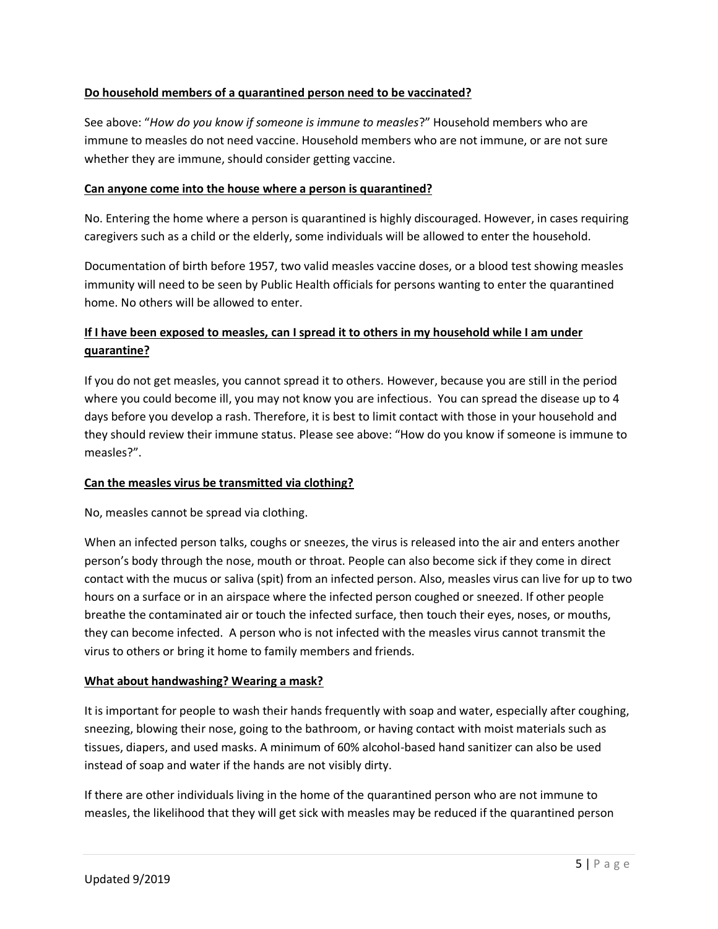#### **Do household members of a quarantined person need to be vaccinated?**

See above: "*How do you know if someone is immune to measles*?" Household members who are immune to measles do not need vaccine. Household members who are not immune, or are not sure whether they are immune, should consider getting vaccine.

#### **Can anyone come into the house where a person is quarantined?**

No. Entering the home where a person is quarantined is highly discouraged. However, in cases requiring caregivers such as a child or the elderly, some individuals will be allowed to enter the household.

Documentation of birth before 1957, two valid measles vaccine doses, or a blood test showing measles immunity will need to be seen by Public Health officials for persons wanting to enter the quarantined home. No others will be allowed to enter.

# **If I have been exposed to measles, can I spread it to others in my household while I am under quarantine?**

If you do not get measles, you cannot spread it to others. However, because you are still in the period where you could become ill, you may not know you are infectious. You can spread the disease up to 4 days before you develop a rash. Therefore, it is best to limit contact with those in your household and they should review their immune status. Please see above: "How do you know if someone is immune to measles?".

#### **Can the measles virus be transmitted via clothing?**

No, measles cannot be spread via clothing.

When an infected person talks, coughs or sneezes, the virus is released into the air and enters another person's body through the nose, mouth or throat. People can also become sick if they come in direct contact with the mucus or saliva (spit) from an infected person. Also, measles virus can live for up to two hours on a surface or in an airspace where the infected person coughed or sneezed. If other people breathe the contaminated air or touch the infected surface, then touch their eyes, noses, or mouths, they can become infected. A person who is not infected with the measles virus cannot transmit the virus to others or bring it home to family members and friends.

#### **What about handwashing? Wearing a mask?**

It is important for people to wash their hands frequently with soap and water, especially after coughing, sneezing, blowing their nose, going to the bathroom, or having contact with moist materials such as tissues, diapers, and used masks. A minimum of 60% alcohol-based hand sanitizer can also be used instead of soap and water if the hands are not visibly dirty.

If there are other individuals living in the home of the quarantined person who are not immune to measles, the likelihood that they will get sick with measles may be reduced if the quarantined person